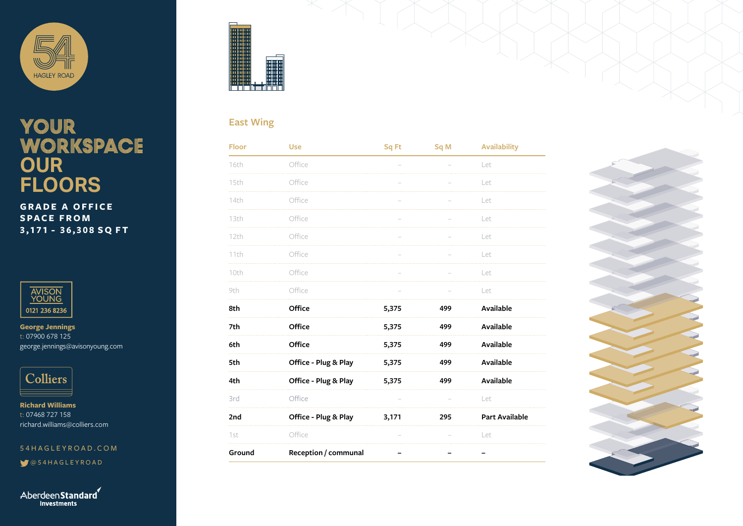

## YOUR WORKSPACE **OUR FLOORS**

**GRADE A OFFICE SPACE FROM 3,171 - 36,308 SQ FT**



**George Jennings** t: 07900 678 125 george.jennings@avisonyoung.com



**Richard Williams** t: 07468 727 158 richard.williams@colliers.com

54HAGLEYROAD.COM

@54HAGLEYROAD

Aberdeen Standard Investments



#### **East Wing**

| Floor  | <b>Use</b>           | Sq Ft | Sq M | <b>Availability</b>   |
|--------|----------------------|-------|------|-----------------------|
| 16th   | Office               |       |      | Let                   |
| 15th   | Office               |       |      | Let                   |
| 14th   | Office               |       |      | Let                   |
| 13th   | Office               |       |      | Let                   |
| 12th   | Office               |       |      | Let                   |
| 11th   | Office               |       |      | Let                   |
| 10th   | Office               |       |      | Let                   |
| 9th    | Office               |       |      | Let                   |
| 8th    | Office               | 5,375 | 499  | Available             |
| 7th    | Office               | 5,375 | 499  | <b>Available</b>      |
| 6th    | Office               | 5,375 | 499  | Available             |
| 5th    | Office - Plug & Play | 5,375 | 499  | Available             |
| 4th    | Office - Plug & Play | 5,375 | 499  | <b>Available</b>      |
| 3rd    | Office               |       |      | Let                   |
| 2nd    | Office - Plug & Play | 3,171 | 295  | <b>Part Available</b> |
| 1st    | Office               |       |      | Let                   |
| Ground | Reception / communal | -     |      | -                     |

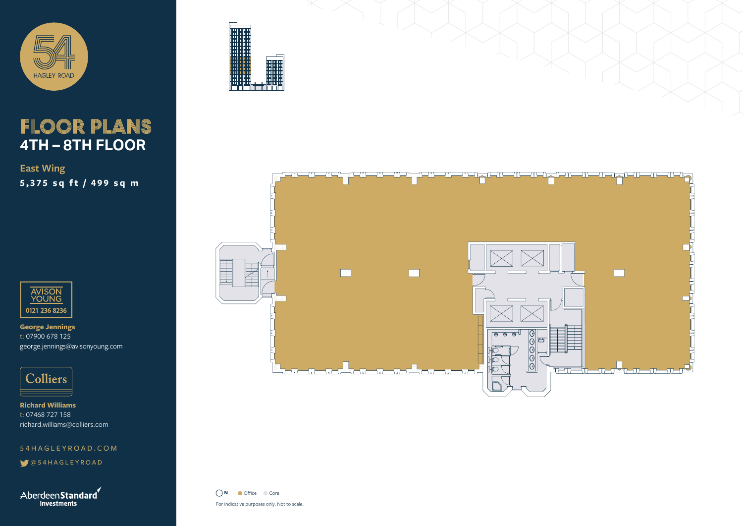

### FLOOR PLANS **4TH – 8TH FLOOR**

**East Wing 5,375 sq ft / 499 sq m**



**George Jennings** t: 07900 678 125 george.jennings@avisonyoung.com



**Richard Williams** t: 07468 727 158 richard.williams@colliers.com

54HAGLEYROAD.COM

@54HAGLEYROAD

AberdeenStandard **Investments** 





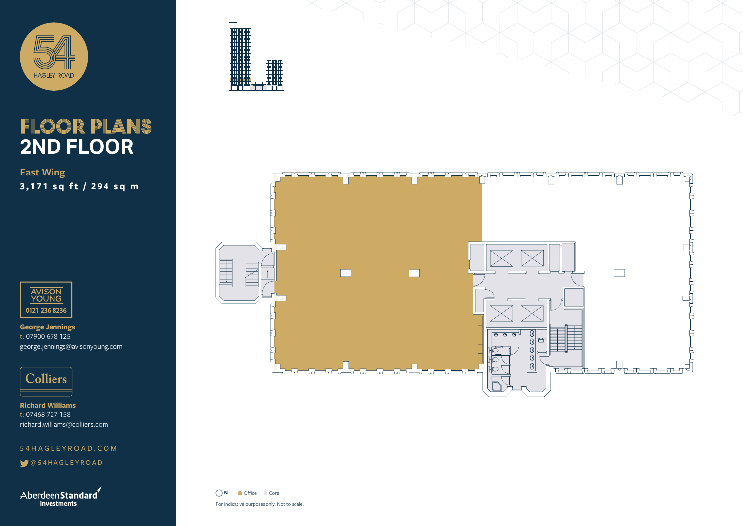

# FLOOR PLANS **2ND FLOOR**

**East Wing 3,171 sq ft / 294 sq m**



**George Jennings** t: 07900 678 125 george.jennings@avisonyoung.com



**Richard Williams** t: 07468 727 158 richard.williams@colliers.com

54HAGLEYROAD.COM

@54HAGLEYROAD

AberdeenStandard **Investments** 





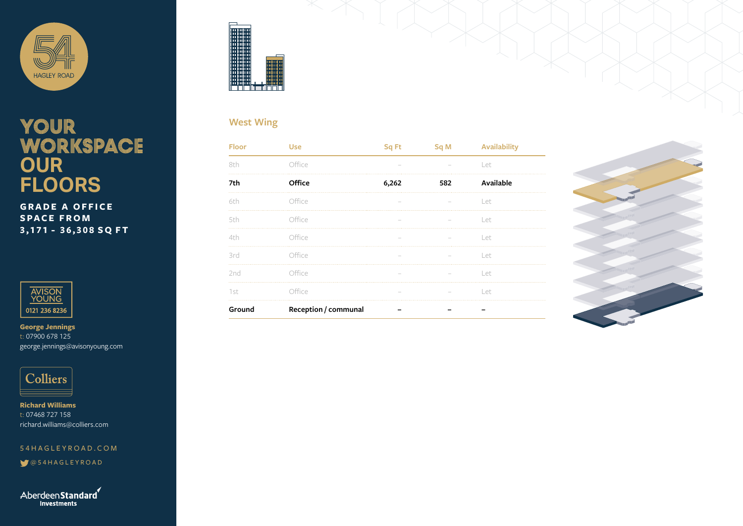

## YOUR WORKSPACE **OUR FLOORS**

**GRADE A OFFICE SPACE FROM 3,171 - 36,308 SQ FT**



**George Jennings** t: 07900 678 125 george.jennings@avisonyoung.com



**Richard Williams** t: 07468 727 158 richard.williams@colliers.com

54HAGLEYROAD.COM

@54HAGLEYROAD

Aberdeen Standard Investments



#### **West Wing**

| <b>Floor</b> | <b>Use</b>           | Sq Ft | Sq M | <b>Availability</b> |
|--------------|----------------------|-------|------|---------------------|
| 8th          | Office               |       |      | Let                 |
| 7th          | Office               | 6,262 | 582  | Available           |
| 6th          | Office               |       |      | Let                 |
| 5th          | Office               |       |      | Let                 |
| 4th          | Office               |       |      | Let                 |
| 3rd          | Office               |       |      | Let                 |
| 2nd          | Office               |       |      | Let                 |
| 1st          | Office               |       |      | Let                 |
| Ground       | Reception / communal |       |      |                     |